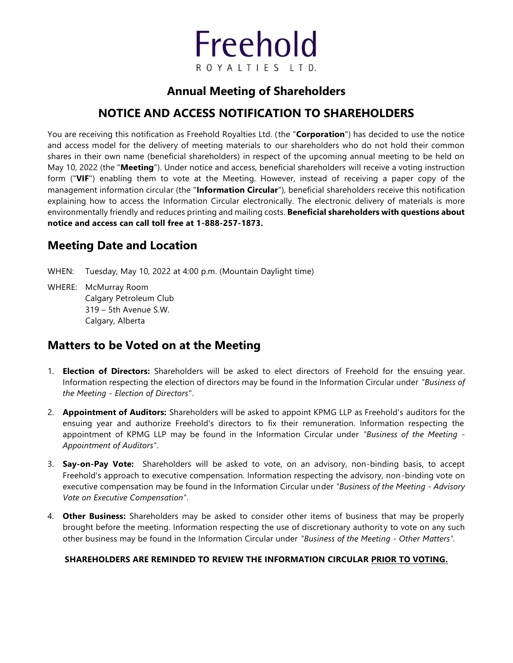

## **Annual Meeting of Shareholders**

# **NOTICE AND ACCESS NOTIFICATION TO SHAREHOLDERS**

You are receiving this notification as Freehold Royalties Ltd. (the "**Corporation**") has decided to use the notice and access model for the delivery of meeting materials to our shareholders who do not hold their common shares in their own name (beneficial shareholders) in respect of the upcoming annual meeting to be held on May 10, 2022 (the "**Meeting**"). Under notice and access, beneficial shareholders will receive a voting instruction form ("**VIF**") enabling them to vote at the Meeting. However, instead of receiving a paper copy of the management information circular (the "**Information Circular**"), beneficial shareholders receive this notification explaining how to access the Information Circular electronically. The electronic delivery of materials is more environmentally friendly and reduces printing and mailing costs. **Beneficial shareholders with questions about notice and access can call toll free at 1-888-257-1873.**

### **Meeting Date and Location**

WHEN: Tuesday, May 10, 2022 at 4:00 p.m. (Mountain Daylight time)

WHERE: McMurray Room Calgary Petroleum Club 319 – 5th Avenue S.W. Calgary, Alberta

### **Matters to be Voted on at the Meeting**

- 1. **Election of Directors:** Shareholders will be asked to elect directors of Freehold for the ensuing year. Information respecting the election of directors may be found in the Information Circular under *"Business of the Meeting - Election of Directors*".
- 2. **Appointment of Auditors:** Shareholders will be asked to appoint KPMG LLP as Freehold's auditors for the ensuing year and authorize Freehold's directors to fix their remuneration. Information respecting the appointment of KPMG LLP may be found in the Information Circular under *"Business of the Meeting - Appointment of Auditors"*.
- 3. **Say-on-Pay Vote:** Shareholders will be asked to vote, on an advisory, non-binding basis, to accept Freehold's approach to executive compensation. Information respecting the advisory, non-binding vote on executive compensation may be found in the Information Circular under *"Business of the Meeting - Advisory Vote on Executive Compensation"*.
- 4. **Other Business:** Shareholders may be asked to consider other items of business that may be properly brought before the meeting. Information respecting the use of discretionary authority to vote on any such other business may be found in the Information Circular under *"Business of the Meeting - Other Matters".*

#### **SHAREHOLDERS ARE REMINDED TO REVIEW THE INFORMATION CIRCULAR PRIOR TO VOTING.**